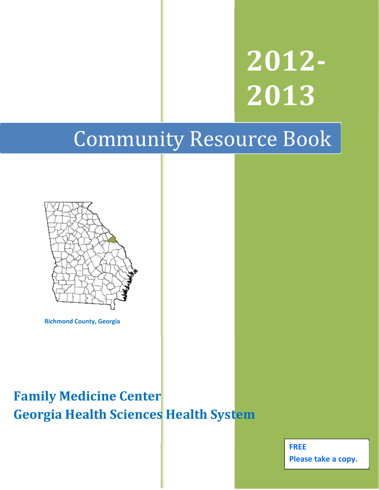**2012‐ 2013**

# Community Resource Book



**Richmond County, Georgia**

## **Family Medicine Center Georgia Health Sciences Health System**

**FREE Please take a copy.**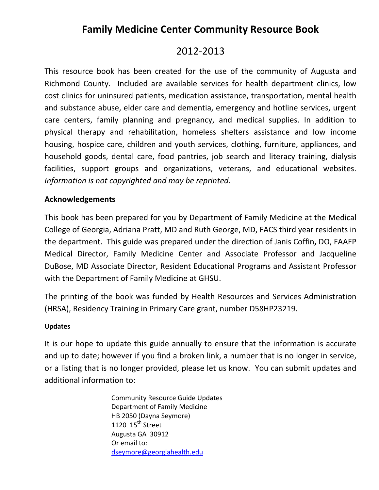## **Family Medicine Center Community Resource Book**

## 2012‐2013

This resource book has been created for the use of the community of Augusta and Richmond County. Included are available services for health department clinics, low cost clinics for uninsured patients, medication assistance, transportation, mental health and substance abuse, elder care and dementia, emergency and hotline services, urgent care centers, family planning and pregnancy, and medical supplies. In addition to physical therapy and rehabilitation, homeless shelters assistance and low income housing, hospice care, children and youth services, clothing, furniture, appliances, and household goods, dental care, food pantries, job search and literacy training, dialysis facilities, support groups and organizations, veterans, and educational websites. *Information is not copyrighted and may be reprinted.* 

## **Acknowledgements**

This book has been prepared for you by Department of Family Medicine at the Medical College of Georgia, Adriana Pratt, MD and Ruth George, MD, FACS third year residents in the department. This guide was prepared under the direction of Janis Coffin**,** DO, FAAFP Medical Director, Family Medicine Center and Associate Professor and Jacqueline DuBose, MD Associate Director, Resident Educational Programs and Assistant Professor with the Department of Family Medicine at GHSU.

The printing of the book was funded by Health Resources and Services Administration (HRSA), Residency Training in Primary Care grant, number D58HP23219.

### **Updates**

It is our hope to update this guide annually to ensure that the information is accurate and up to date; however if you find a broken link, a number that is no longer in service, or a listing that is no longer provided, please let us know. You can submit updates and additional information to:

> Community Resource Guide Updates Department of Family Medicine HB 2050 (Dayna Seymore) 1120  $15<sup>th</sup>$  Street Augusta GA 30912 Or email to: dseymore@georgiahealth.edu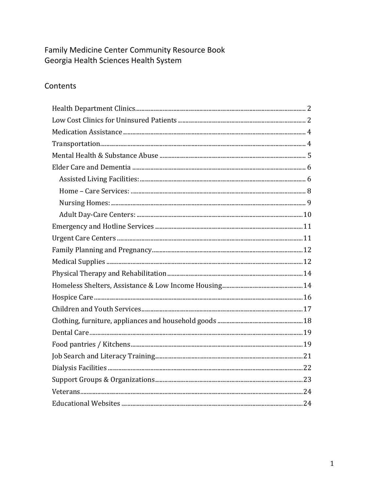## Family Medicine Center Community Resource Book Georgia Health Sciences Health System

## Contents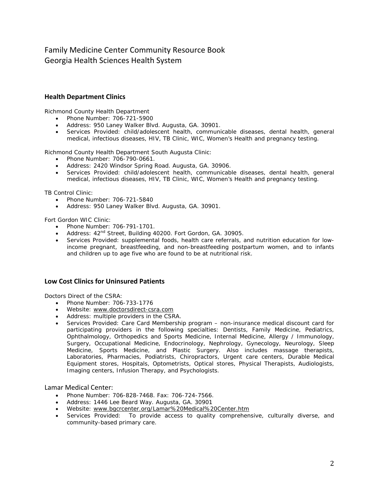## Family Medicine Center Community Resource Book Georgia Health Sciences Health System

#### **Health Department Clinics**

Richmond County Health Department

- Phone Number: 706-721-5900
- Address: 950 Laney Walker Blvd. Augusta, GA. 30901.
- Services Provided: child/adolescent health, communicable diseases, dental health, general medical, infectious diseases, HIV, TB Clinic, WIC, Women's Health and pregnancy testing.

Richmond County Health Department South Augusta Clinic:

- Phone Number: 706-790-0661.
- Address: 2420 Windsor Spring Road. Augusta, GA. 30906.
- Services Provided: child/adolescent health, communicable diseases, dental health, general medical, infectious diseases, HIV, TB Clinic, WIC, Women's Health and pregnancy testing.

TB Control Clinic:

- Phone Number: 706-721-5840
- Address: 950 Laney Walker Blvd. Augusta, GA. 30901.

Fort Gordon WIC Clinic:

- Phone Number: 706-791-1701.
- Address:  $42^{nd}$  Street, Building 40200. Fort Gordon, GA. 30905.
- Services Provided: supplemental foods, health care referrals, and nutrition education for lowincome pregnant, breastfeeding, and non-breastfeeding postpartum women, and to infants and children up to age five who are found to be at nutritional risk.

#### **Low Cost Clinics for Uninsured Patients**

Doctors Direct of the CSRA:

- Phone Number: 706-733-1776
- Website: www.doctorsdirect-csra.com
- Address: multiple providers in the CSRA.
- Services Provided: Care Card Membership program non-insurance medical discount card for participating providers in the following specialties: Dentists, Family Medicine, Pediatrics, Ophthalmology, Orthopedics and Sports Medicine, Internal Medicine, Allergy / Immunology, Surgery, Occupational Medicine, Endocrinology, Nephrology, Gynecology, Neurology, Sleep Medicine, Sports Medicine, and Plastic Surgery. Also includes massage therapists, Laboratories, Pharmacies, Podiatrists, Chiropractors, Urgent care centers, Durable Medical Equipment stores, Hospitals, Optometrists, Optical stores, Physical Therapists, Audiologists, Imaging centers, Infusion Therapy, and Psychologists.

#### Lamar Medical Center:

- Phone Number: 706-828-7468. Fax: 706-724-7566.
- Address: 1446 Lee Beard Way. Augusta, GA. 30901
- Website: www.bgcrcenter.org/Lamar%20Medical%20Center.htm
- Services Provided: To provide access to quality comprehensive, culturally diverse, and community-based primary care.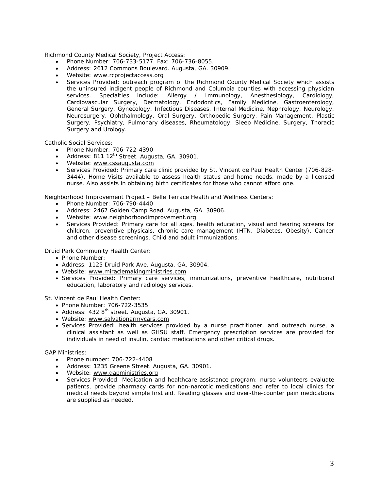Richmond County Medical Society, Project Access:

- Phone Number: 706-733-5177. Fax: 706-736-8055.
- Address: 2612 Commons Boulevard. Augusta, GA. 30909.
- Website: www.rcprojectaccess.org
- Services Provided: outreach program of the Richmond County Medical Society which assists the uninsured indigent people of Richmond and Columbia counties with accessing physician services. Specialties include: Allergy / Immunology, Anesthesiology, Cardiology, Cardiovascular Surgery, Dermatology, Endodontics, Family Medicine, Gastroenterology, General Surgery, Gynecology, Infectious Diseases, Internal Medicine, Nephrology, Neurology, Neurosurgery, Ophthalmology, Oral Surgery, Orthopedic Surgery, Pain Management, Plastic Surgery, Psychiatry, Pulmonary diseases, Rheumatology, Sleep Medicine, Surgery, Thoracic Surgery and Urology.

Catholic Social Services:

- Phone Number: 706-722-4390
- Address: 811 12<sup>th</sup> Street. Augusta, GA. 30901.
- Website: www.cssaugusta.com
- Services Provided: Primary care clinic provided by St. Vincent de Paul Health Center (706-828- 3444). Home Visits available to assess health status and home needs, made by a licensed nurse. Also assists in obtaining birth certificates for those who cannot afford one.

Neighborhood Improvement Project – Belle Terrace Health and Wellness Centers:

- Phone Number: 706-790-4440
- Address: 2467 Golden Camp Road. Augusta, GA. 30906.
- Website: www.neighborhoodimprovement.org
- Services Provided: Primary care for all ages, health education, visual and hearing screens for children, preventive physicals, chronic care management (HTN, Diabetes, Obesity), Cancer and other disease screenings, Child and adult immunizations.

Druid Park Community Health Center:

- Phone Number:
- Address: 1125 Druid Park Ave. Augusta, GA. 30904.
- Website: www.miraclemakingministries.com
- Services Provided: Primary care services, immunizations, preventive healthcare, nutritional education, laboratory and radiology services.

St. Vincent de Paul Health Center:

- Phone Number: 706-722-3535
- Address:  $4328<sup>th</sup>$  street. Augusta, GA, 30901.
- Website: www.salvationarmycars.com
- Services Provided: health services provided by a nurse practitioner, and outreach nurse, a clinical assistant as well as GHSU staff. Emergency prescription services are provided for individuals in need of insulin, cardiac medications and other critical drugs.

GAP Ministries:

- Phone number: 706-722-4408
- Address: 1235 Greene Street. Augusta, GA. 30901.
- Website: www.gapministries.org
- Services Provided: Medication and healthcare assistance program: nurse volunteers evaluate patients, provide pharmacy cards for non-narcotic medications and refer to local clinics for medical needs beyond simple first aid. Reading glasses and over-the-counter pain medications are supplied as needed.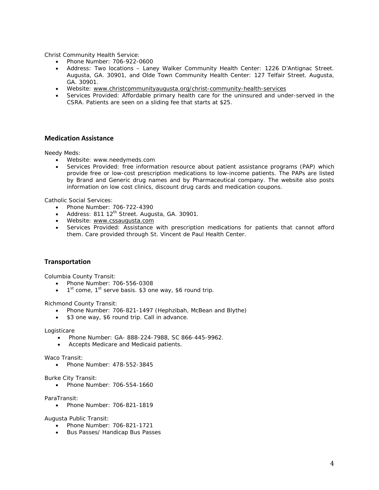Christ Community Health Service:

- Phone Number: 706-922-0600
- Address: Two locations Laney Walker Community Health Center: 1226 D'Antignac Street. Augusta, GA. 30901, and Olde Town Community Health Center: 127 Telfair Street. Augusta, GA. 30901.
- Website: www.christcommunityaugusta.org/christ-community-health-services
- Services Provided: Affordable primary health care for the uninsured and under-served in the CSRA. Patients are seen on a sliding fee that starts at \$25.

#### **Medication Assistance**

Needy Meds:

- Website: www.needymeds.com
- Services Provided: free information resource about patient assistance programs (PAP) which provide free or low-cost prescription medications to low-income patients. The PAPs are listed by Brand and Generic drug names and by Pharmaceutical company. The website also posts information on low cost clinics, discount drug cards and medication coupons.

Catholic Social Services:

- Phone Number: 706-722-4390
- Address: 811 12<sup>th</sup> Street. Augusta, GA. 30901.
- Website: www.cssaugusta.com
- Services Provided: Assistance with prescription medications for patients that cannot afford them. Care provided through St. Vincent de Paul Health Center.

#### **Transportation**

Columbia County Transit:

- Phone Number: 706-556-0308
- $1<sup>st</sup>$  come,  $1<sup>st</sup>$  serve basis. \$3 one way, \$6 round trip.

Richmond County Transit:

- Phone Number: 706-821-1497 (Hephzibah, McBean and Blythe)
- \$3 one way, \$6 round trip. Call in advance.

Logisticare

- Phone Number: GA- 888-224-7988, SC 866-445-9962.
- Accepts Medicare and Medicaid patients.

Waco Transit:

Phone Number: 478-552-3845

Burke City Transit:

• Phone Number: 706-554-1660

ParaTransit:

Phone Number: 706-821-1819

Augusta Public Transit:

- Phone Number: 706-821-1721
- Bus Passes/ Handicap Bus Passes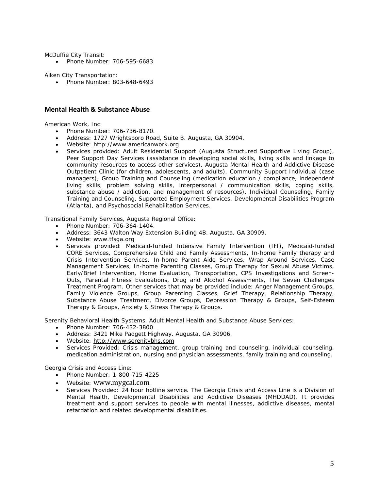McDuffie City Transit:

• Phone Number: 706-595-6683

Aiken City Transportation:

• Phone Number: 803-648-6493

#### **Mental Health & Substance Abuse**

American Work, Inc:

- Phone Number: 706-736-8170.
- Address: 1727 Wrightsboro Road, Suite B. Augusta, GA 30904.
- Website: http://www.americanwork.org
- Services provided: Adult Residential Support (Augusta Structured Supportive Living Group), Peer Support Day Services (assistance in developing social skills, living skills and linkage to community resources to access other services), Augusta Mental Health and Addictive Disease Outpatient Clinic (for children, adolescents, and adults), Community Support Individual (case managers), Group Training and Counseling (medication education / compliance, independent living skills, problem solving skills, interpersonal / communication skills, coping skills, substance abuse / addiction, and management of resources), Individual Counseling, Family Training and Counseling, Supported Employment Services, Developmental Disabilities Program (Atlanta), and Psychosocial Rehabilitation Services.

Transitional Family Services, Augusta Regional Office:

- Phone Number: 706-364-1404.
- Address: 3643 Walton Way Extension Building 4B. Augusta, GA 30909.
- Website: www.tfsga.org
- Services provided: Medicaid-funded Intensive Family Intervention (IFI), Medicaid-funded CORE Services, Comprehensive Child and Family Assessments, In-home Family therapy and Crisis Intervention Services, In-home Parent Aide Services, Wrap Around Services, Case Management Services, In-home Parenting Classes, Group Therapy for Sexual Abuse Victims, Early/Brief Intervention, Home Evaluation, Transportation, CPS Investigations and Screen-Outs, Parental Fitness Evaluations, Drug and Alcohol Assessments, The Seven Challenges Treatment Program. Other services that may be provided include: Anger Management Groups, Family Violence Groups, Group Parenting Classes, Grief Therapy, Relationship Therapy, Substance Abuse Treatment, Divorce Groups, Depression Therapy & Groups, Self-Esteem Therapy & Groups, Anxiety & Stress Therapy & Groups.

Serenity Behavioral Health Systems, Adult Mental Health and Substance Abuse Services:

- Phone Number: 706-432-3800.
- Address: 3421 Mike Padgett Highway. Augusta, GA 30906.
- Website: http://www.serenitybhs.com
- Services Provided: Crisis management, group training and counseling, individual counseling, medication administration, nursing and physician assessments, family training and counseling.

Georgia Crisis and Access Line:

- Phone Number: 1-800-715-4225
- Website: www.mygcal.com
- Services Provided: 24 hour hotline service. The Georgia Crisis and Access Line is a Division of Mental Health, Developmental Disabilities and Addictive Diseases (MHDDAD). It provides treatment and support services to people with mental illnesses, addictive diseases, mental retardation and related developmental disabilities.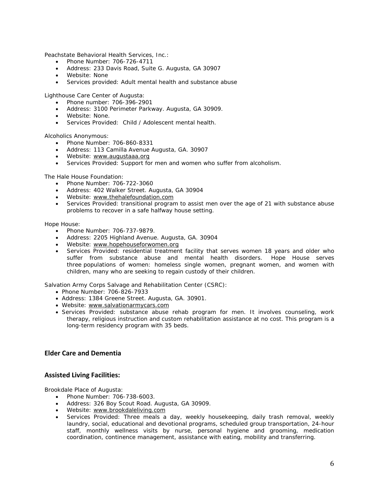Peachstate Behavioral Health Services, Inc.:

- Phone Number: 706-726-4711
- Address: 233 Davis Road, Suite G. Augusta, GA 30907
- Website: None
- Services provided: Adult mental health and substance abuse

Lighthouse Care Center of Augusta:

- Phone number: 706-396-2901
- Address: 3100 Perimeter Parkway. Augusta, GA 30909.
- Website: None.
- Services Provided: Child / Adolescent mental health.

Alcoholics Anonymous:

- Phone Number: 706-860-8331
- Address: 113 Camilla Avenue Augusta, GA. 30907
- Website: www.augustaaa.org
- Services Provided: Support for men and women who suffer from alcoholism.

The Hale House Foundation:

- Phone Number: 706-722-3060
- Address: 402 Walker Street. Augusta, GA 30904
- Website: www.thehalefoundation.com
- Services Provided: transitional program to assist men over the age of 21 with substance abuse problems to recover in a safe halfway house setting.

Hope House:

- Phone Number: 706-737-9879.
- Address: 2205 Highland Avenue. Augusta, GA. 30904
- Website: www.hopehouseforwomen.org
- Services Provided: residential treatment facility that serves women 18 years and older who suffer from substance abuse and mental health disorders. Hope House serves three populations of women: homeless single women, pregnant women, and women with children, many who are seeking to regain custody of their children.

Salvation Army Corps Salvage and Rehabilitation Center (CSRC):

- Phone Number: 706-826-7933
- Address: 1384 Greene Street. Augusta, GA. 30901.
- Website: www.salvationarmycars.com
- Services Provided: substance abuse rehab program for men. It involves counseling, work therapy, religious instruction and custom rehabilitation assistance at no cost. This program is a long-term residency program with 35 beds.

#### **Elder Care and Dementia**

#### **Assisted Living Facilities:**

Brookdale Place of Augusta:

- Phone Number: 706-738-6003.
- Address: 326 Boy Scout Road. Augusta, GA 30909.
- Website: www.brookdaleliving.com
- Services Provided: Three meals a day, weekly housekeeping, daily trash removal, weekly laundry, social, educational and devotional programs, scheduled group transportation, 24-hour staff, monthly wellness visits by nurse, personal hygiene and grooming, medication coordination, continence management, assistance with eating, mobility and transferring.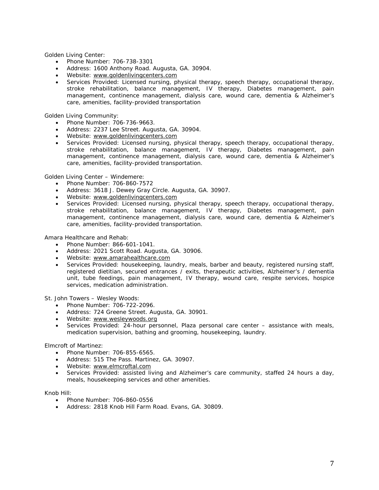Golden Living Center:

- Phone Number: 706-738-3301
- Address: 1600 Anthony Road. Augusta, GA. 30904.
- Website: www.goldenlivingcenters.com
- Services Provided: Licensed nursing, physical therapy, speech therapy, occupational therapy, stroke rehabilitation, balance management, IV therapy, Diabetes management, pain management, continence management, dialysis care, wound care, dementia & Alzheimer's care, amenities, facility-provided transportation

Golden Living Community:

- Phone Number: 706-736-9663.
- Address: 2237 Lee Street. Augusta, GA. 30904.
- Website: www.goldenlivingcenters.com
- Services Provided: Licensed nursing, physical therapy, speech therapy, occupational therapy, stroke rehabilitation, balance management, IV therapy, Diabetes management, pain management, continence management, dialysis care, wound care, dementia & Alzheimer's care, amenities, facility-provided transportation.

Golden Living Center – Windemere:

- Phone Number: 706-860-7572
- Address: 3618 J. Dewey Gray Circle. Augusta, GA. 30907.
- Website: www.goldenlivingcenters.com
- Services Provided: Licensed nursing, physical therapy, speech therapy, occupational therapy, stroke rehabilitation, balance management, IV therapy, Diabetes management, pain management, continence management, dialysis care, wound care, dementia & Alzheimer's care, amenities, facility-provided transportation.

Amara Healthcare and Rehab:

- Phone Number: 866-601-1041.
- Address: 2021 Scott Road. Augusta, GA. 30906.
- Website: www.amarahealthcare.com
- Services Provided: housekeeping, laundry, meals, barber and beauty, registered nursing staff, registered dietitian, secured entrances / exits, therapeutic activities, Alzheimer's / dementia unit, tube feedings, pain management, IV therapy, wound care, respite services, hospice services, medication administration.

St. John Towers – Wesley Woods:

- Phone Number: 706-722-2096.
- Address: 724 Greene Street. Augusta, GA. 30901.
- Website: www.wesleywoods.org
- Services Provided: 24-hour personnel, Plaza personal care center assistance with meals, medication supervision, bathing and grooming, housekeeping, laundry.

Elmcroft of Martinez:

- Phone Number: 706-855-6565.
- Address: 515 The Pass. Martinez, GA. 30907.
- Website: www.elmcroftal.com
- Services Provided: assisted living and Alzheimer's care community, staffed 24 hours a day, meals, housekeeping services and other amenities.

Knob Hill:

- Phone Number: 706-860-0556
- Address: 2818 Knob Hill Farm Road. Evans, GA. 30809.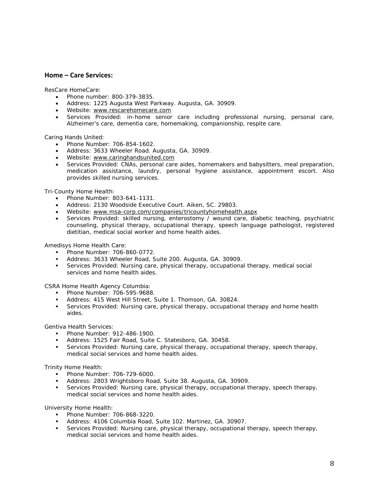#### **Home – Care Services:**

ResCare HomeCare:

- Phone number: 800-379-3835.
- Address: 1225 Augusta West Parkway. Augusta, GA. 30909.
- Website: www.rescarehomecare.com
- Services Provided: in-home senior care including professional nursing, personal care, Alzheimer's care, dementia care, homemaking, companionship, respite care.

Caring Hands United:

- Phone Number: 706-854-1602.
- Address: 3633 Wheeler Road. Augusta, GA. 30909.
- Website: www.caringhandsunited.com
- Services Provided: CNAs, personal care aides, homemakers and babysitters, meal preparation, medication assistance, laundry, personal hygiene assistance, appointment escort. Also provides skilled nursing services.

Tri-County Home Health:

- Phone Number: 803-641-1131.
- Address: 2130 Woodside Executive Court. Aiken, SC. 29803.
- Website: www.msa-corp.com/companies/tricountyhomehealth.aspx
- Services Provided: skilled nursing, enterostomy / wound care, diabetic teaching, psychiatric counseling, physical therapy, occupational therapy, speech language pathologist, registered dietitian, medical social worker and home health aides.

Amedisys Home Health Care:

- Phone Number: 706-860-0772.
- Address: 3633 Wheeler Road, Suite 200. Augusta, GA. 30909.
- Services Provided: Nursing care, physical therapy, occupational therapy, medical social services and home health aides.

CSRA Home Health Agency Columbia:

- **Phone Number: 706-595-9688.**
- Address: 415 West Hill Street, Suite 1. Thomson, GA. 30824.
- **Services Provided: Nursing care, physical therapy, occupational therapy and home health** aides.

Gentiva Health Services:

- Phone Number: 912-486-1900.
- Address: 1525 Fair Road, Suite C. Statesboro, GA. 30458.
- Services Provided: Nursing care, physical therapy, occupational therapy, speech therapy, medical social services and home health aides.

Trinity Home Health:

- **Phone Number: 706-729-6000.**
- Address: 2803 Wrightsboro Road, Suite 38. Augusta, GA. 30909.
- Services Provided: Nursing care, physical therapy, occupational therapy, speech therapy, medical social services and home health aides.

University Home Health:

- **Phone Number: 706-868-3220.**
- Address: 4106 Columbia Road, Suite 102. Martinez, GA. 30907.
- Services Provided: Nursing care, physical therapy, occupational therapy, speech therapy, medical social services and home health aides.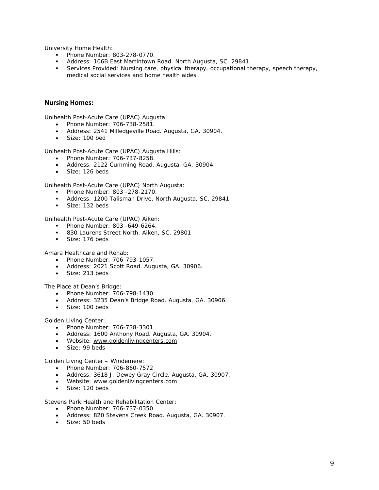University Home Health:

- Phone Number: 803-278-0770.
- Address: 106B East Martintown Road. North Augusta, SC. 29841.
- Services Provided: Nursing care, physical therapy, occupational therapy, speech therapy, medical social services and home health aides.

#### **Nursing Homes:**

Unihealth Post-Acute Care (UPAC) Augusta:

- Phone Number: 706-738-2581.
- Address: 2541 Milledgeville Road. Augusta, GA. 30904.
- Size: 100 bed

Unihealth Post-Acute Care (UPAC) Augusta Hills:

- Phone Number: 706-737-8258.
- Address: 2122 Cumming Road. Augusta, GA. 30904.
- Size: 126 beds

Unihealth Post-Acute Care (UPAC) North Augusta:

- Phone Number: 803 -278-2170.
- Address: 1200 Talisman Drive, North Augusta, SC. 29841
- Size: 132 beds

Unihealth Post-Acute Care (UPAC) Aiken:

- Phone Number: 803 -649-6264.
- 830 Laurens Street North. Aiken, SC. 29801
- Size: 176 beds

Amara Healthcare and Rehab:

- Phone Number: 706-793-1057.
- Address: 2021 Scott Road. Augusta, GA. 30906.
- Size: 213 beds

The Place at Dean's Bridge:

- Phone Number: 706-798-1430.
- Address: 3235 Dean's Bridge Road. Augusta, GA. 30906.
- Size: 100 beds

Golden Living Center:

- Phone Number: 706-738-3301
- Address: 1600 Anthony Road. Augusta, GA. 30904.
- Website: www.goldenlivingcenters.com
- $\bullet$  Size: 99 beds

Golden Living Center – Windemere:

- Phone Number: 706-860-7572
- Address: 3618 J. Dewey Gray Circle. Augusta, GA. 30907.
- Website: www.goldenlivingcenters.com
- Size: 120 beds

Stevens Park Health and Rehabilitation Center:

- Phone Number: 706-737-0350
- Address: 820 Stevens Creek Road. Augusta, GA. 30907.
- Size: 50 beds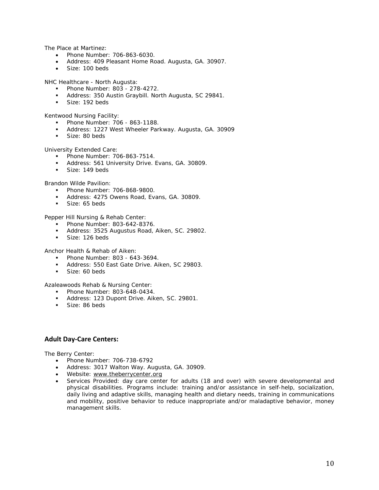The Place at Martinez:

- Phone Number: 706-863-6030.
- Address: 409 Pleasant Home Road. Augusta, GA. 30907.
- Size: 100 beds

NHC Healthcare - North Augusta:

- Phone Number: 803 278-4272.
- Address: 350 Austin Graybill. North Augusta, SC 29841.
- Size: 192 beds

Kentwood Nursing Facility:

- Phone Number: 706 863-1188.
- Address: 1227 West Wheeler Parkway. Augusta, GA. 30909
- Size: 80 beds

University Extended Care:

- **Phone Number: 706-863-7514.**
- **Address: 561 University Drive. Evans, GA. 30809.**
- Size: 149 beds

Brandon Wilde Pavilion:

- Phone Number: 706-868-9800.
- Address: 4275 Owens Road, Evans, GA. 30809.
- Size: 65 beds

Pepper Hill Nursing & Rehab Center:

- Phone Number: 803-642-8376.
- Address: 3525 Augustus Road, Aiken, SC. 29802.
- Size: 126 beds

Anchor Health & Rehab of Aiken:

- Phone Number: 803 643-3694.
- Address: 550 East Gate Drive. Aiken, SC 29803.
- Size: 60 beds

Azaleawoods Rehab & Nursing Center:

- Phone Number: 803-648-0434.
- Address: 123 Dupont Drive. Aiken, SC. 29801.
- Size: 86 beds

#### **Adult Day‐Care Centers:**

The Berry Center:

- Phone Number: 706-738-6792
- Address: 3017 Walton Way. Augusta, GA. 30909.
- Website: www.theberrycenter.org
- Services Provided: day care center for adults (18 and over) with severe developmental and physical disabilities. Programs include: training and/or assistance in self-help, socialization, daily living and adaptive skills, managing health and dietary needs, training in communications and mobility, positive behavior to reduce inappropriate and/or maladaptive behavior, money management skills.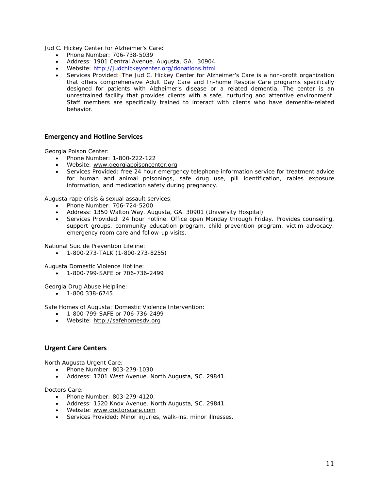Jud C. Hickey Center for Alzheimer's Care:

- Phone Number: 706-738-5039
- Address: 1901 Central Avenue. Augusta, GA. 30904
- Website: http://judchickeycenter.org/donations.html
- Services Provided: The Jud C. Hickey Center for Alzheimer's Care is a non-profit organization that offers comprehensive Adult Day Care and In-home Respite Care programs specifically designed for patients with Alzheimer's disease or a related dementia. The center is an unrestrained facility that provides clients with a safe, nurturing and attentive environment. Staff members are specifically trained to interact with clients who have dementia-related behavior.

#### **Emergency and Hotline Services**

Georgia Poison Center:

- Phone Number: 1-800-222-122
- Website: www.georgiapoisoncenter.org
- Services Provided: free 24 hour emergency telephone information service for treatment advice for human and animal poisonings, safe drug use, pill identification, rabies exposure information, and medication safety during pregnancy.

Augusta rape crisis & sexual assault services:

- Phone Number: 706-724-5200
- Address: 1350 Walton Way. Augusta, GA. 30901 (University Hospital)
- Services Provided: 24 hour hotline. Office open Monday through Friday. Provides counseling, support groups, community education program, child prevention program, victim advocacy, emergency room care and follow-up visits.

National Suicide Prevention Lifeline:

1-800-273-TALK (1-800-273-8255)

Augusta Domestic Violence Hotline:

1-800-799-SAFE or 706-736-2499

Georgia Drug Abuse Helpline:

 $-1-800$  338-6745

Safe Homes of Augusta: Domestic Violence Intervention:

- 1-800-799-SAFE or 706-736-2499
- Website: http://safehomesdv.org

#### **Urgent Care Centers**

North Augusta Urgent Care:

- Phone Number: 803-279-1030
- Address: 1201 West Avenue. North Augusta, SC. 29841.

Doctors Care:

- Phone Number: 803-279-4120.
- Address: 1520 Knox Avenue. North Augusta, SC. 29841.
- Website: www.doctorscare.com
- Services Provided: Minor injuries, walk-ins, minor illnesses.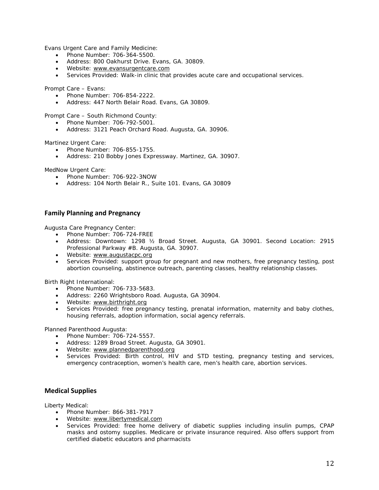Evans Urgent Care and Family Medicine:

- Phone Number: 706-364-5500.
- Address: 800 Oakhurst Drive. Evans, GA. 30809.
- Website: www.evansurgentcare.com
- Services Provided: Walk-in clinic that provides acute care and occupational services.

Prompt Care – Evans:

- Phone Number: 706-854-2222.
- Address: 447 North Belair Road. Evans, GA 30809.

Prompt Care – South Richmond County:

- Phone Number: 706-792-5001.
- Address: 3121 Peach Orchard Road. Augusta, GA. 30906.

Martinez Urgent Care:

- Phone Number: 706-855-1755.
- Address: 210 Bobby Jones Expressway. Martinez, GA. 30907.

MedNow Urgent Care:

- Phone Number: 706-922-3NOW
- Address: 104 North Belair R., Suite 101. Evans, GA 30809

#### **Family Planning and Pregnancy**

Augusta Care Pregnancy Center:

- Phone Number: 706-724-FREE
- Address: Downtown: 1298 ½ Broad Street. Augusta, GA 30901. Second Location: 2915 Professional Parkway #B. Augusta, GA. 30907.
- Website: www.augustacpc.org
- Services Provided: support group for pregnant and new mothers, free pregnancy testing, post abortion counseling, abstinence outreach, parenting classes, healthy relationship classes.

Birth Right International:

- Phone Number: 706-733-5683.
- Address: 2260 Wrightsboro Road. Augusta, GA 30904.
- Website: www.birthright.org
- Services Provided: free pregnancy testing, prenatal information, maternity and baby clothes, housing referrals, adoption information, social agency referrals.

Planned Parenthood Augusta:

- Phone Number: 706-724-5557.
- Address: 1289 Broad Street. Augusta, GA 30901.
- Website: www.plannedparenthood.org
- Services Provided: Birth control, HIV and STD testing, pregnancy testing and services, emergency contraception, women's health care, men's health care, abortion services.

#### **Medical Supplies**

Liberty Medical:

- Phone Number: 866-381-7917
- Website: www.libertymedical.com
- Services Provided: free home delivery of diabetic supplies including insulin pumps, CPAP masks and ostomy supplies. Medicare or private insurance required. Also offers support from certified diabetic educators and pharmacists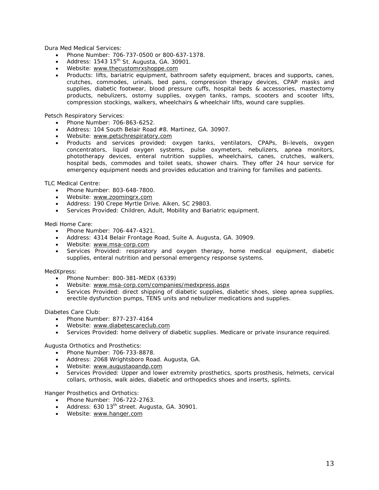Dura Med Medical Services:

- Phone Number: 706-737-0500 or 800-637-1378.
- Address: 1543 15<sup>th</sup> St. Augusta, GA. 30901.
- Website: www.thecustomrxshoppe.com
- Products: lifts, bariatric equipment, bathroom safety equipment, braces and supports, canes, crutches, commodes, urinals, bed pans, compression therapy devices, CPAP masks and supplies, diabetic footwear, blood pressure cuffs, hospital beds & accessories, mastectomy products, nebulizers, ostomy supplies, oxygen tanks, ramps, scooters and scooter lifts, compression stockings, walkers, wheelchairs & wheelchair lifts, wound care supplies.

Petsch Respiratory Services:

- Phone Number: 706-863-6252.
- Address: 104 South Belair Road #8. Martinez, GA. 30907.
- Website: www.petschrespiratory.com
- Products and services provided: oxygen tanks, ventilators, CPAPs, Bi-levels, oxygen concentrators, liquid oxygen systems, pulse oxymeters, nebulizers, apnea monitors, phototherapy devices, enteral nutrition supplies, wheelchairs, canes, crutches, walkers, hospital beds, commodes and toilet seats, shower chairs. They offer 24 hour service for emergency equipment needs and provides education and training for families and patients.

TLC Medical Centre:

- Phone Number: 803-648-7800.
- Website: www.zoomingrx.com
- Address: 190 Crepe Myrtle Drive. Aiken, SC 29803.
- Services Provided: Children, Adult, Mobility and Bariatric equipment.

Medi Home Care:

- Phone Number: 706-447-4321.
- Address: 4314 Belair Frontage Road, Suite A. Augusta, GA. 30909.
- Website: www.msa-corp.com
- Services Provided: respiratory and oxygen therapy, home medical equipment, diabetic supplies, enteral nutrition and personal emergency response systems.

MedXpress:

- Phone Number: 800-381-MEDX (6339)
- Website: www.msa-corp.com/companies/medxpress.aspx
- Services Provided: direct shipping of diabetic supplies, diabetic shoes, sleep apnea supplies, erectile dysfunction pumps, TENS units and nebulizer medications and supplies.

Diabetes Care Club:

- Phone Number: 877-237-4164
- Website: www.diabetescareclub.com
- Services Provided: home delivery of diabetic supplies. Medicare or private insurance required.

Augusta Orthotics and Prosthetics:

- Phone Number: 706-733-8878.
- Address: 2068 Wrightsboro Road. Augusta, GA.
- Website: www.augustaoandp.com
- Services Provided: Upper and lower extremity prosthetics, sports prosthesis, helmets, cervical collars, orthosis, walk aides, diabetic and orthopedics shoes and inserts, splints.

Hanger Prosthetics and Orthotics:

- Phone Number: 706-722-2763.
- Address: 630  $13<sup>th</sup>$  street. Augusta, GA. 30901.
- Website: www.hanger.com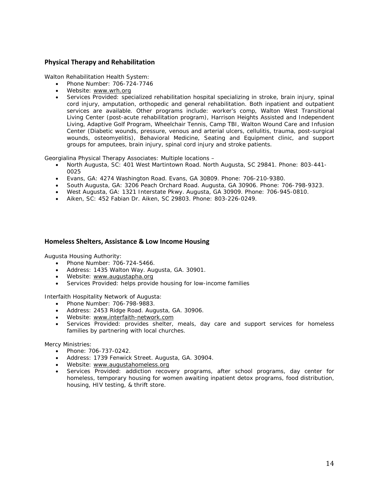#### **Physical Therapy and Rehabilitation**

Walton Rehabilitation Health System:

- Phone Number: 706-724-7746
- Website: www.wrh.org
- Services Provided: specialized rehabilitation hospital specializing in stroke, brain injury, spinal cord injury, amputation, orthopedic and general rehabilitation. Both inpatient and outpatient services are available. Other programs include: worker's comp, Walton West Transitional Living Center (post-acute rehabilitation program), Harrison Heights Assisted and Independent Living, Adaptive Golf Program, Wheelchair Tennis, Camp TBI, Walton Wound Care and Infusion Center (Diabetic wounds, pressure, venous and arterial ulcers, cellulitis, trauma, post-surgical wounds, osteomyelitis), Behavioral Medicine, Seating and Equipment clinic, and support groups for amputees, brain injury, spinal cord injury and stroke patients.

Georgialina Physical Therapy Associates: Multiple locations –

- North Augusta, SC: 401 West Martintown Road. North Augusta, SC 29841. Phone: 803-441- 0025
- Evans, GA: 4274 Washington Road. Evans, GA 30809. Phone: 706-210-9380.
- South Augusta, GA: 3206 Peach Orchard Road. Augusta, GA 30906. Phone: 706-798-9323.
- West Augusta, GA: 1321 Interstate Pkwy. Augusta, GA 30909. Phone: 706-945-0810.
- Aiken, SC: 452 Fabian Dr. Aiken, SC 29803. Phone: 803-226-0249.

#### **Homeless Shelters, Assistance & Low Income Housing**

Augusta Housing Authority:

- Phone Number: 706-724-5466.
- Address: 1435 Walton Way. Augusta, GA. 30901.
- Website: www.augustapha.org
- Services Provided: helps provide housing for low-income families

Interfaith Hospitality Network of Augusta:

- Phone Number: 706-798-9883.
- Address: 2453 Ridge Road. Augusta, GA. 30906.
- Website: www.interfaith-network.com
- Services Provided: provides shelter, meals, day care and support services for homeless families by partnering with local churches.

Mercy Ministries:

- Phone: 706-737-0242.
- Address: 1739 Fenwick Street. Augusta, GA. 30904.
- Website: www.augustahomeless.org
- Services Provided: addiction recovery programs, after school programs, day center for homeless, temporary housing for women awaiting inpatient detox programs, food distribution, housing, HIV testing, & thrift store.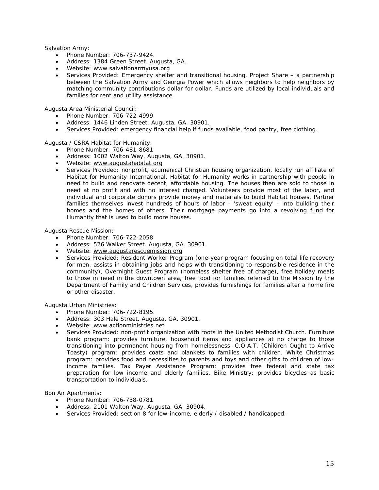Salvation Army:

- Phone Number: 706-737-9424.
- Address: 1384 Green Street. Augusta, GA.
- Website: www.salvationarmyusa.org
- Services Provided: Emergency shelter and transitional housing. Project Share a partnership between the Salvation Army and Georgia Power which allows neighbors to help neighbors by matching community contributions dollar for dollar. Funds are utilized by local individuals and families for rent and utility assistance.

Augusta Area Ministerial Council:

- Phone Number: 706-722-4999
- Address: 1446 Linden Street. Augusta, GA. 30901.
- Services Provided: emergency financial help if funds available, food pantry, free clothing.

Augusta / CSRA Habitat for Humanity:

- Phone Number: 706-481-8681
- Address: 1002 Walton Way. Augusta, GA. 30901.
- Website: www.augustahabitat.org
- Services Provided: nonprofit, ecumenical Christian housing organization, locally run affiliate of Habitat for Humanity International. Habitat for Humanity works in partnership with people in need to build and renovate decent, affordable housing. The houses then are sold to those in need at no profit and with no interest charged. Volunteers provide most of the labor, and individual and corporate donors provide money and materials to build Habitat houses. Partner families themselves invest hundreds of hours of labor - 'sweat equity' - into building their homes and the homes of others. Their mortgage payments go into a revolving fund for Humanity that is used to build more houses.

Augusta Rescue Mission:

- Phone Number: 706-722-2058
- Address: 526 Walker Street. Augusta, GA. 30901.
- Website: www.augustarescuemission.org
- Services Provided: Resident Worker Program (one-year program focusing on total life recovery for men, assists in obtaining jobs and helps with transitioning to responsible residence in the community), Overnight Guest Program (homeless shelter free of charge), free holiday meals to those in need in the downtown area, free food for families referred to the Mission by the Department of Family and Children Services, provides furnishings for families after a home fire or other disaster.

Augusta Urban Ministries:

- Phone Number: 706-722-8195.
- Address: 303 Hale Street. Augusta, GA. 30901.
- Website: www.actionministries.net
- Services Provided: non-profit organization with roots in the United Methodist Church. Furniture bank program: provides furniture, household items and appliances at no charge to those transitioning into permanent housing from homelessness. C.O.A.T. (Children Ought to Arrive Toasty) program: provides coats and blankets to families with children. White Christmas program: provides food and necessities to parents and toys and other gifts to children of lowincome families. Tax Payer Assistance Program: provides free federal and state tax preparation for low income and elderly families. Bike Ministry: provides bicycles as basic transportation to individuals.

Bon Air Apartments:

- Phone Number: 706-738-0781
- Address: 2101 Walton Way. Augusta, GA. 30904.
- Services Provided: section 8 for low-income, elderly / disabled / handicapped.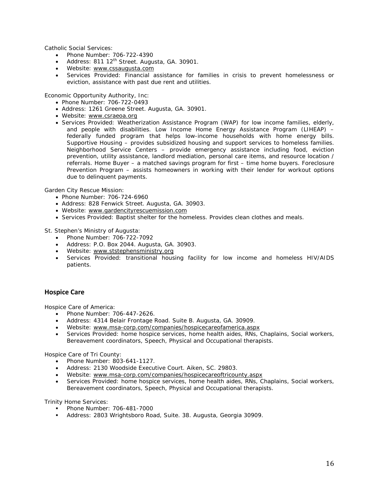Catholic Social Services:

- Phone Number: 706-722-4390
- Address: 811 12<sup>th</sup> Street. Augusta, GA. 30901.
- Website: www.cssaugusta.com
- Services Provided: Financial assistance for families in crisis to prevent homelessness or eviction, assistance with past due rent and utilities.

Economic Opportunity Authority, Inc:

- Phone Number: 706-722-0493
- Address: 1261 Greene Street. Augusta, GA. 30901.
- Website: www.csraeoa.org
- Services Provided: Weatherization Assistance Program (WAP) for low income families, elderly, and people with disabilities. Low Income Home Energy Assistance Program (LIHEAP) – federally funded program that helps low-income households with home energy bills. Supportive Housing – provides subsidized housing and support services to homeless families. Neighborhood Service Centers – provide emergency assistance including food, eviction prevention, utility assistance, landlord mediation, personal care items, and resource location / referrals. Home Buyer – a matched savings program for first – time home buyers. Foreclosure Prevention Program – assists homeowners in working with their lender for workout options due to delinquent payments.

Garden City Rescue Mission:

- Phone Number: 706-724-6960
- Address: 828 Fenwick Street. Augusta, GA. 30903.
- Website: www.gardencityrescuemission.com
- Services Provided: Baptist shelter for the homeless. Provides clean clothes and meals.

St. Stephen's Ministry of Augusta:

- Phone Number: 706-722-7092
- Address: P.O. Box 2044. Augusta, GA. 30903.
- Website: www.ststephensministry.org
- Services Provided: transitional housing facility for low income and homeless HIV/AIDS patients.

#### **Hospice Care**

Hospice Care of America:

- Phone Number: 706-447-2626.
- Address: 4314 Belair Frontage Road. Suite B. Augusta, GA. 30909.
- Website: www.msa-corp.com/companies/hospicecareofamerica.aspx
- Services Provided: home hospice services, home health aides, RNs, Chaplains, Social workers, Bereavement coordinators, Speech, Physical and Occupational therapists.

Hospice Care of Tri County:

- Phone Number: 803-641-1127.
- Address: 2130 Woodside Executive Court. Aiken, SC. 29803.
- Website: www.msa-corp.com/companies/hospicecareoftricounty.aspx
- Services Provided: home hospice services, home health aides, RNs, Chaplains, Social workers, Bereavement coordinators, Speech, Physical and Occupational therapists.

Trinity Home Services:

- Phone Number: 706-481-7000
- Address: 2803 Wrightsboro Road, Suite. 38. Augusta, Georgia 30909.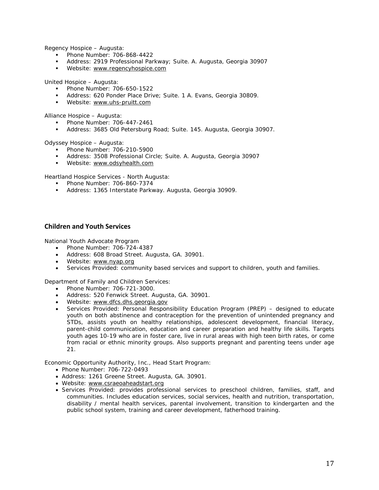Regency Hospice – Augusta:

- Phone Number: 706-868-4422
- Address: 2919 Professional Parkway; Suite. A. Augusta, Georgia 30907
- Website: www.regencyhospice.com

United Hospice – Augusta:

- Phone Number: 706-650-1522
- Address: 620 Ponder Place Drive; Suite. 1 A. Evans, Georgia 30809.
- **Website:** www.uhs-pruitt.com

Alliance Hospice – Augusta:

- Phone Number: 706-447-2461
- Address: 3685 Old Petersburg Road; Suite. 145. Augusta, Georgia 30907.

Odyssey Hospice – Augusta:

- Phone Number: 706-210-5900
- Address: 3508 Professional Circle; Suite. A. Augusta, Georgia 30907
- Website: www.odsyhealth.com

Heartland Hospice Services - North Augusta:

- Phone Number: 706-860-7374
- Address: 1365 Interstate Parkway. Augusta, Georgia 30909.

#### **Children and Youth Services**

National Youth Advocate Program

- Phone Number: 706-724-4387
- Address: 608 Broad Street. Augusta, GA. 30901.
- Website: www.nyap.org
- Services Provided: community based services and support to children, youth and families.

Department of Family and Children Services:

- Phone Number: 706-721-3000.
- Address: 520 Fenwick Street. Augusta, GA. 30901.
- Website: www.dfcs.dhs.georgia.gov
- Services Provided: Personal Responsibility Education Program (PREP) designed to educate youth on both abstinence and contraception for the prevention of unintended pregnancy and STDs, assists youth on healthy relationships, adolescent development, financial literacy, parent-child communication, education and career preparation and healthy life skills. Targets youth ages 10-19 who are in foster care, live in rural areas with high teen birth rates, or come from racial or ethnic minority groups. Also supports pregnant and parenting teens under age 21.

Economic Opportunity Authority, Inc., Head Start Program:

- Phone Number: 706-722-0493
- Address: 1261 Greene Street. Augusta, GA. 30901.
- Website: www.csraeoaheadstart.org
- Services Provided: provides professional services to preschool children, families, staff, and communities. Includes education services, social services, health and nutrition, transportation, disability / mental health services, parental involvement, transition to kindergarten and the public school system, training and career development, fatherhood training.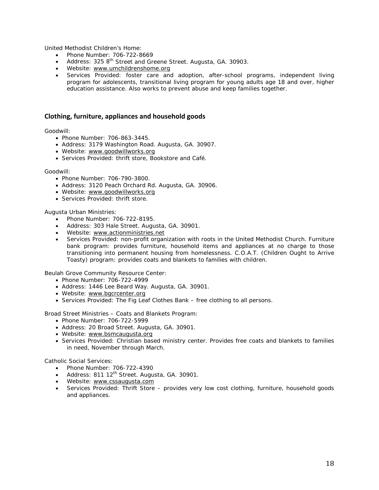United Methodist Children's Home:

- Phone Number: 706-722-8669
- Address: 325 8<sup>th</sup> Street and Greene Street. Augusta, GA. 30903.
- Website: www.umchildrenshome.org
- Services Provided: foster care and adoption, after-school programs, independent living program for adolescents, transitional living program for young adults age 18 and over, higher education assistance. Also works to prevent abuse and keep families together.

#### **Clothing, furniture, appliances and household goods**

Goodwill:

- Phone Number: 706-863-3445.
- Address: 3179 Washington Road. Augusta, GA. 30907.
- Website: www.goodwillworks.org
- Services Provided: thrift store, Bookstore and Café.

#### Goodwill:

- Phone Number: 706-790-3800.
- Address: 3120 Peach Orchard Rd. Augusta, GA. 30906.
- Website: www.goodwillworks.org
- Services Provided: thrift store.

Augusta Urban Ministries:

- Phone Number: 706-722-8195.
- Address: 303 Hale Street. Augusta, GA. 30901.
- Website: www.actionministries.net
- Services Provided: non-profit organization with roots in the United Methodist Church. Furniture bank program: provides furniture, household items and appliances at no charge to those transitioning into permanent housing from homelessness. C.O.A.T. (Children Ought to Arrive Toasty) program: provides coats and blankets to families with children.

Beulah Grove Community Resource Center:

- Phone Number: 706-722-4999
- Address: 1446 Lee Beard Way. Augusta, GA. 30901.
- Website: www.bgcrcenter.org
- Services Provided: The Fig Leaf Clothes Bank free clothing to all persons.

Broad Street Ministries – Coats and Blankets Program:

- Phone Number: 706-722-5999
- Address: 20 Broad Street. Augusta, GA. 30901.
- Website: www.bsmcaugusta.org
- Services Provided: Christian based ministry center. Provides free coats and blankets to families in need, November through March.

Catholic Social Services:

- Phone Number: 706-722-4390
- Address: 811 12<sup>th</sup> Street. Augusta, GA. 30901.
- Website: www.cssaugusta.com
- Services Provided: Thrift Store provides very low cost clothing, furniture, household goods and appliances.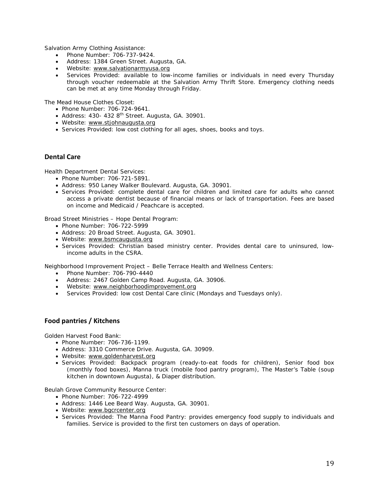Salvation Army Clothing Assistance:

- Phone Number: 706-737-9424.
- Address: 1384 Green Street. Augusta, GA.
- Website: www.salvationarmyusa.org
- Services Provided: available to low-income families or individuals in need every Thursday through voucher redeemable at the Salvation Army Thrift Store. Emergency clothing needs can be met at any time Monday through Friday.

The Mead House Clothes Closet:

- Phone Number: 706-724-9641.
- $\bullet$  Address: 430- 432 8<sup>th</sup> Street. Augusta, GA. 30901.
- Website: www.stjohnaugusta.org
- Services Provided: low cost clothing for all ages, shoes, books and toys.

#### **Dental Care**

Health Department Dental Services:

- Phone Number: 706-721-5891.
- Address: 950 Laney Walker Boulevard. Augusta, GA. 30901.
- Services Provided: complete dental care for children and limited care for adults who cannot access a private dentist because of financial means or lack of transportation. Fees are based on income and Medicaid / Peachcare is accepted.

Broad Street Ministries – Hope Dental Program:

- Phone Number: 706-722-5999
- Address: 20 Broad Street. Augusta, GA. 30901.
- Website: www.bsmcaugusta.org
- Services Provided: Christian based ministry center. Provides dental care to uninsured, lowincome adults in the CSRA.

Neighborhood Improvement Project – Belle Terrace Health and Wellness Centers:

- Phone Number: 706-790-4440
- Address: 2467 Golden Camp Road. Augusta, GA. 30906.
- Website: www.neighborhoodimprovement.org
- Services Provided: low cost Dental Care clinic (Mondays and Tuesdays only).

#### **Food pantries / Kitchens**

Golden Harvest Food Bank:

- Phone Number: 706-736-1199.
- Address: 3310 Commerce Drive. Augusta, GA. 30909.
- Website: www.goldenharvest.org
- Services Provided: Backpack program (ready-to-eat foods for children), Senior food box (monthly food boxes), Manna truck (mobile food pantry program), The Master's Table (soup kitchen in downtown Augusta), & Diaper distribution.

Beulah Grove Community Resource Center:

- Phone Number: 706-722-4999
- Address: 1446 Lee Beard Way. Augusta, GA. 30901.
- Website: www.bgcrcenter.org
- Services Provided: The Manna Food Pantry: provides emergency food supply to individuals and families. Service is provided to the first ten customers on days of operation.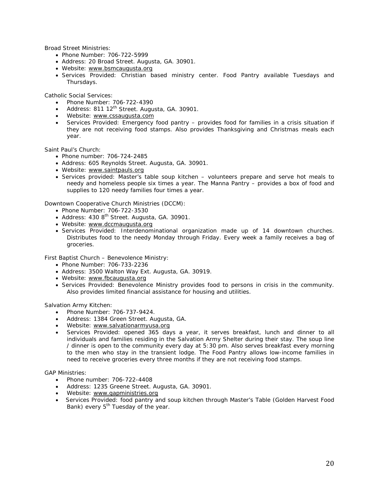Broad Street Ministries:

- Phone Number: 706-722-5999
- Address: 20 Broad Street. Augusta, GA. 30901.
- Website: www.bsmcaugusta.org
- Services Provided: Christian based ministry center. Food Pantry available Tuesdays and Thursdays.

Catholic Social Services:

- Phone Number: 706-722-4390
- Address: 811 12<sup>th</sup> Street. Augusta, GA. 30901.
- Website: www.cssaugusta.com
- Services Provided: Emergency food pantry provides food for families in a crisis situation if they are not receiving food stamps. Also provides Thanksgiving and Christmas meals each year.

Saint Paul's Church:

- Phone number: 706-724-2485
- Address: 605 Reynolds Street. Augusta, GA. 30901.
- Website: www.saintpauls.org
- Services provided: Master's table soup kitchen volunteers prepare and serve hot meals to needy and homeless people six times a year. The Manna Pantry – provides a box of food and supplies to 120 needy families four times a year.

Downtown Cooperative Church Ministries (DCCM):

- Phone Number: 706-722-3530
- Address: 430 8<sup>th</sup> Street. Augusta, GA. 30901.
- Website: www.dccmaugusta.org
- Services Provided: Interdenominational organization made up of 14 downtown churches. Distributes food to the needy Monday through Friday. Every week a family receives a bag of groceries.

First Baptist Church – Benevolence Ministry:

- Phone Number: 706-733-2236
- Address: 3500 Walton Way Ext. Augusta, GA. 30919.
- Website: www.fbcaugusta.org
- Services Provided: Benevolence Ministry provides food to persons in crisis in the community. Also provides limited financial assistance for housing and utilities.

Salvation Army Kitchen:

- Phone Number: 706-737-9424.
- Address: 1384 Green Street. Augusta, GA.
- Website: www.salvationarmyusa.org
- Services Provided: opened 365 days a year, it serves breakfast, lunch and dinner to all individuals and families residing in the Salvation Army Shelter during their stay. The soup line / dinner is open to the community every day at 5:30 pm. Also serves breakfast every morning to the men who stay in the transient lodge. The Food Pantry allows low-income families in need to receive groceries every three months if they are not receiving food stamps.

GAP Ministries:

- Phone number: 706-722-4408
- Address: 1235 Greene Street. Augusta, GA. 30901.
- Website: www.gapministries.org
- Services Provided: food pantry and soup kitchen through Master's Table (Golden Harvest Food Bank) every  $5<sup>th</sup>$  Tuesday of the year.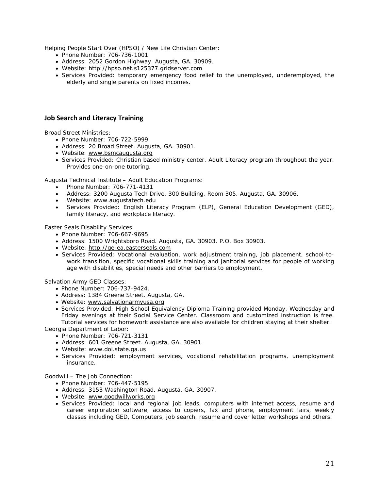Helping People Start Over (HPSO) / New Life Christian Center:

- Phone Number: 706-736-1001
- Address: 2052 Gordon Highway. Augusta, GA. 30909.
- Website: http://hpso.net.s125377.gridserver.com
- Services Provided: temporary emergency food relief to the unemployed, underemployed, the elderly and single parents on fixed incomes.

#### **Job Search and Literacy Training**

Broad Street Ministries:

- Phone Number: 706-722-5999
- Address: 20 Broad Street. Augusta, GA. 30901.
- Website: www.bsmcaugusta.org
- Services Provided: Christian based ministry center. Adult Literacy program throughout the year. Provides one-on-one tutoring.

Augusta Technical Institute – Adult Education Programs:

- Phone Number: 706-771-4131
- Address: 3200 Augusta Tech Drive. 300 Building, Room 305. Augusta, GA. 30906.
- Website: www.augustatech.edu
- Services Provided: English Literacy Program (ELP), General Education Development (GED), family literacy, and workplace literacy.

Easter Seals Disability Services:

- Phone Number: 706-667-9695
- Address: 1500 Wrightsboro Road. Augusta, GA. 30903. P.O. Box 30903.
- Website: http://ge-ea.easterseals.com
- Services Provided: Vocational evaluation, work adjustment training, job placement, school-towork transition, specific vocational skills training and janitorial services for people of working age with disabilities, special needs and other barriers to employment.

Salvation Army GED Classes:

- Phone Number: 706-737-9424.
- Address: 1384 Greene Street. Augusta, GA.
- Website: www.salvationarmyusa.org
- Services Provided: High School Equivalency Diploma Training provided Monday, Wednesday and Friday evenings at their Social Service Center. Classroom and customized instruction is free. Tutorial services for homework assistance are also available for children staying at their shelter. Georgia Department of Labor:
	- Phone Number: 706-721-3131
	- Address: 601 Greene Street. Augusta, GA. 30901.
	- Website: www.dol.state.ga.us
	- Services Provided: employment services, vocational rehabilitation programs, unemployment insurance.

Goodwill – The Job Connection:

- Phone Number: 706-447-5195
- Address: 3153 Washington Road. Augusta, GA. 30907.
- Website: www.goodwillworks.org
- Services Provided: local and regional job leads, computers with internet access, resume and career exploration software, access to copiers, fax and phone, employment fairs, weekly classes including GED, Computers, job search, resume and cover letter workshops and others.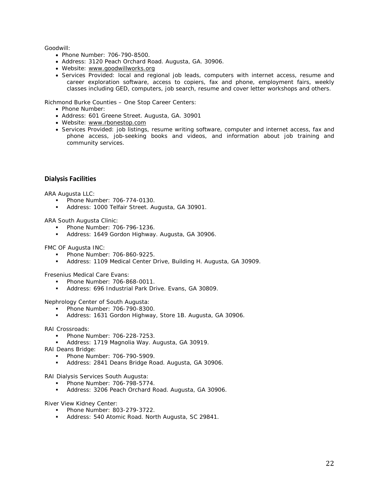Goodwill:

- Phone Number: 706-790-8500.
- Address: 3120 Peach Orchard Road. Augusta, GA. 30906.
- Website: www.goodwillworks.org
- Services Provided: local and regional job leads, computers with internet access, resume and career exploration software, access to copiers, fax and phone, employment fairs, weekly classes including GED, computers, job search, resume and cover letter workshops and others.

Richmond Burke Counties – One Stop Career Centers:

- Phone Number:
- Address: 601 Greene Street. Augusta, GA. 30901
- Website: www.rbonestop.com
- Services Provided: job listings, resume writing software, computer and internet access, fax and phone access, job-seeking books and videos, and information about job training and community services.

#### **Dialysis Facilities**

ARA Augusta LLC:

- **Phone Number: 706-774-0130.**
- **Address: 1000 Telfair Street. Augusta, GA 30901.**

ARA South Augusta Clinic:

- Phone Number: 706-796-1236.
- Address: 1649 Gordon Highway. Augusta, GA 30906.

FMC OF Augusta INC:

- **Phone Number: 706-860-9225.**
- Address: 1109 Medical Center Drive, Building H. Augusta, GA 30909.

Fresenius Medical Care Evans:

- **Phone Number: 706-868-0011.**
- Address: 696 Industrial Park Drive. Evans, GA 30809.

Nephrology Center of South Augusta:

- Phone Number: 706-790-8300.
- Address: 1631 Gordon Highway, Store 1B. Augusta, GA 30906.

RAI Crossroads:

- Phone Number: 706-228-7253.
- Address: 1719 Magnolia Way. Augusta, GA 30919.
- RAI Deans Bridge:
	- Phone Number: 706-790-5909.
	- Address: 2841 Deans Bridge Road. Augusta, GA 30906.

RAI Dialysis Services South Augusta:

- Phone Number: 706-798-5774.
- Address: 3206 Peach Orchard Road. Augusta, GA 30906.

River View Kidney Center:

- Phone Number: 803-279-3722.
- **-** Address: 540 Atomic Road. North Augusta, SC 29841.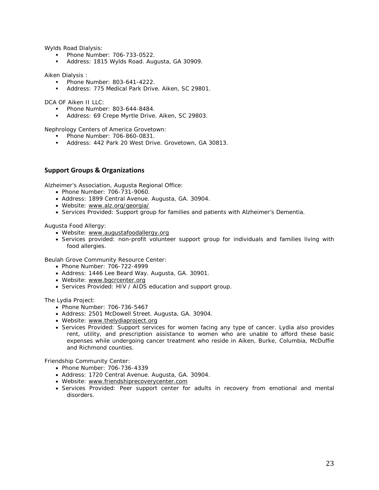Wylds Road Dialysis:

- Phone Number: 706-733-0522.
- Address: 1815 Wylds Road. Augusta, GA 30909.

Aiken Dialysis :

- Phone Number: 803-641-4222.
- Address: 775 Medical Park Drive. Aiken, SC 29801.

DCA OF Aiken II LLC:

- Phone Number: 803-644-8484.
- Address: 69 Crepe Myrtle Drive. Aiken, SC 29803.

Nephrology Centers of America Grovetown:

- Phone Number: 706-860-0831.
- Address: 442 Park 20 West Drive. Grovetown, GA 30813.

#### **Support Groups & Organizations**

Alzheimer's Association, Augusta Regional Office:

- Phone Number: 706-731-9060.
- Address: 1899 Central Avenue. Augusta, GA. 30904.
- Website: www.alz.org/georgia/
- Services Provided: Support group for families and patients with Alzheimer's Dementia.

Augusta Food Allergy:

- Website: www.augustafoodallergy.org
- Services provided: non-profit volunteer support group for individuals and families living with food allergies.

Beulah Grove Community Resource Center:

- Phone Number: 706-722-4999
- Address: 1446 Lee Beard Way. Augusta, GA. 30901.
- Website: www.bgcrcenter.org
- Services Provided: HIV / AIDS education and support group.

The Lydia Project:

- Phone Number: 706-736-5467
- Address: 2501 McDowell Street. Augusta, GA. 30904.
- Website: www.thelydiaproject.org
- Services Provided: Support services for women facing any type of cancer. Lydia also provides rent, utility, and prescription assistance to women who are unable to afford these basic expenses while undergoing cancer treatment who reside in Aiken, Burke, Columbia, McDuffie and Richmond counties.

Friendship Community Center:

- Phone Number: 706-736-4339
- Address: 1720 Central Avenue. Augusta, GA. 30904.
- Website: www.friendshiprecoverycenter.com
- Services Provided: Peer support center for adults in recovery from emotional and mental disorders.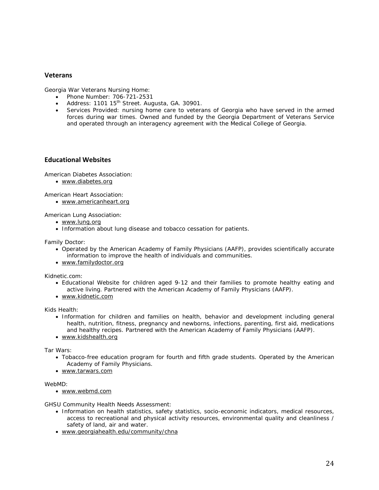#### **Veterans**

Georgia War Veterans Nursing Home:

- Phone Number: 706-721-2531
- Address: 1101 15<sup>th</sup> Street. Augusta, GA, 30901.
- Services Provided: nursing home care to veterans of Georgia who have served in the armed forces during war times. Owned and funded by the Georgia Department of Veterans Service and operated through an interagency agreement with the Medical College of Georgia.

#### **Educational Websites**

American Diabetes Association:

www.diabetes.org

American Heart Association:

www.americanheart.org

American Lung Association:

- www.lung.org
- Information about lung disease and tobacco cessation for patients.

Family Doctor:

- Operated by the American Academy of Family Physicians (AAFP), provides scientifically accurate information to improve the health of individuals and communities.
- www.familydoctor.org

Kidnetic.com:

- Educational Website for children aged 9-12 and their families to promote healthy eating and active living. Partnered with the American Academy of Family Physicians (AAFP).
- www.kidnetic.com

Kids Health:

- Information for children and families on health, behavior and development including general health, nutrition, fitness, pregnancy and newborns, infections, parenting, first aid, medications and healthy recipes. Partnered with the American Academy of Family Physicians (AAFP).
- www.kidshealth.org

Tar Wars:

- Tobacco-free education program for fourth and fifth grade students. Operated by the American Academy of Family Physicians.
- www.tarwars.com

WebMD:

www.webmd.com

GHSU Community Health Needs Assessment:

- Information on health statistics, safety statistics, socio-economic indicators, medical resources, access to recreational and physical activity resources, environmental quality and cleanliness / safety of land, air and water.
- www.georgiahealth.edu/community/chna